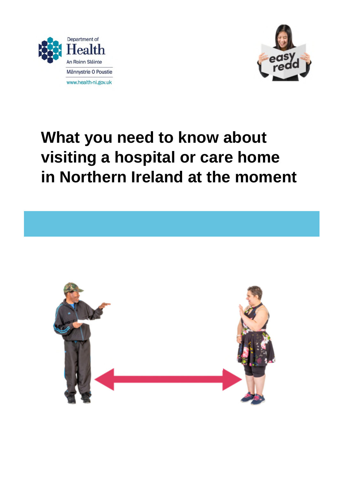



# **What you need to know about visiting a hospital or care home in Northern Ireland at the moment**

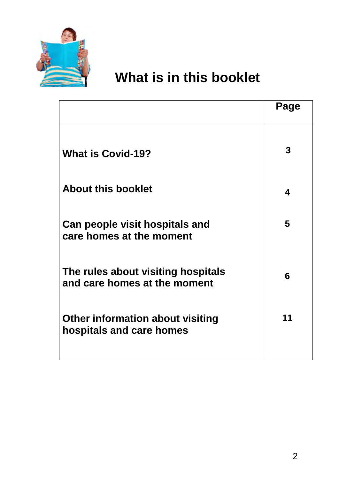

# **What is in this booklet**

|                                                                    | Page |
|--------------------------------------------------------------------|------|
| <b>What is Covid-19?</b>                                           | 3    |
| <b>About this booklet</b>                                          | 4    |
| Can people visit hospitals and<br>care homes at the moment         | 5    |
| The rules about visiting hospitals<br>and care homes at the moment | 6    |
| Other information about visiting<br>hospitals and care homes       | 11   |
|                                                                    |      |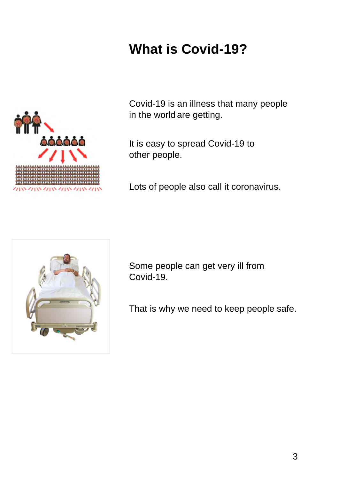# **What is Covid-19?**



Covid-19 is an illness that many people in the world are getting.

It is easy to spread Covid-19 to other people.

Lots of people also call it coronavirus.



Some people can get very ill from Covid-19.

That is why we need to keep people safe.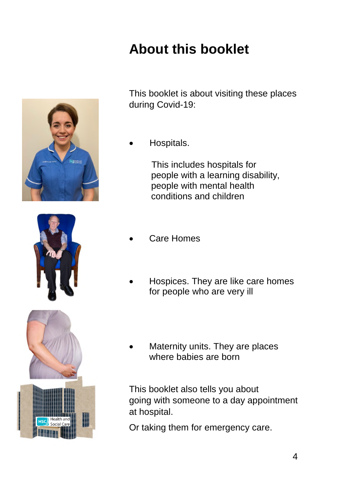



# **About this booklet**

This booklet is about visiting these places during Covid-19:

Hospitals.

This includes hospitals for people with a learning disability, people with mental health conditions and children

- Care Homes
- Hospices. They are like care homes for people who are very ill
- Maternity units. They are places where babies are born

This booklet also tells you about going with someone to a day appointment at hospital.

Or taking them for emergency care.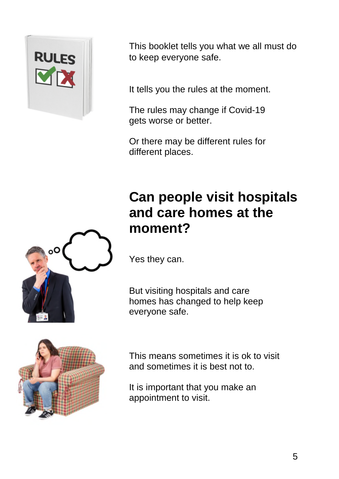

This booklet tells you what we all must do to keep everyone safe.

It tells you the rules at the moment.

The rules may change if Covid-19 gets worse or better.

Or there may be different rules for different places.

## **Can people visit hospitals and care homes at the moment?**



But visiting hospitals and care homes has changed to help keep everyone safe.



This means sometimes it is ok to visit and sometimes it is best not to.

It is important that you make an appointment to visit.

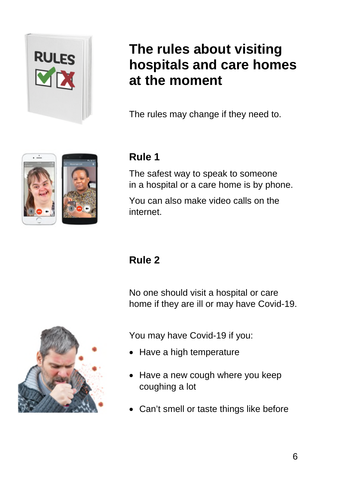

# **The rules about visiting hospitals and care homes at the moment**

The rules may change if they need to.

#### **Rule 1**

The safest way to speak to someone in a hospital or a care home is by phone.

You can also make video calls on the internet.

### **Rule 2**

No one should visit a hospital or care home if they are ill or may have Covid-19.



You may have Covid-19 if you:

- Have a high temperature
- Have a new cough where you keep coughing a lot
- Can't smell or taste things like before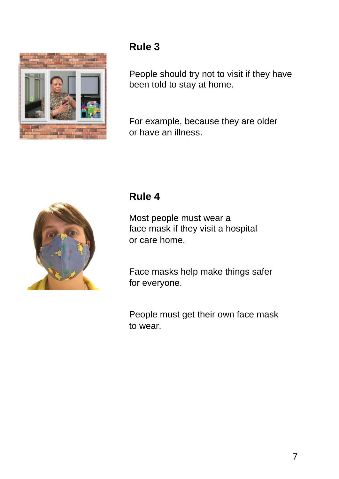

People should try not to visit if they have been told to stay at home.

For example, because they are older or have an illness.



#### **Rule 4**

Most people must wear a face mask if they visit a hospital or care home.

Face masks help make things safer for everyone.

People must get their own face mask to wear.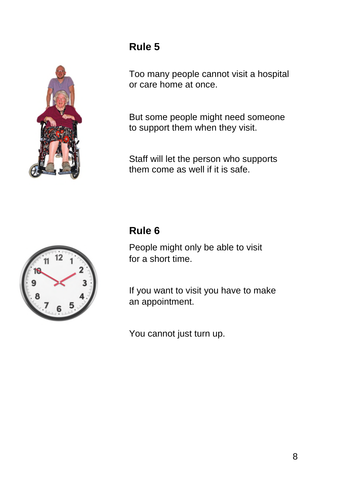

Too many people cannot visit a hospital or care home at once.

But some people might need someone to support them when they visit.

Staff will let the person who supports them come as well if it is safe.



#### **Rule 6**

People might only be able to visit for a short time.

If you want to visit you have to make an appointment.

You cannot just turn up.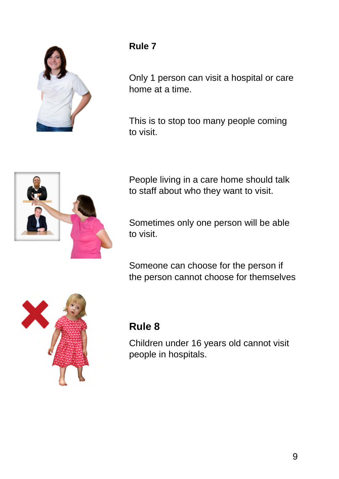

Only 1 person can visit a hospital or care home at a time.

This is to stop too many people coming to visit.



People living in a care home should talk to staff about who they want to visit.

Sometimes only one person will be able to visit.

Someone can choose for the person if the person cannot choose for themselves



#### **Rule 8**

Children under 16 years old cannot visit people in hospitals.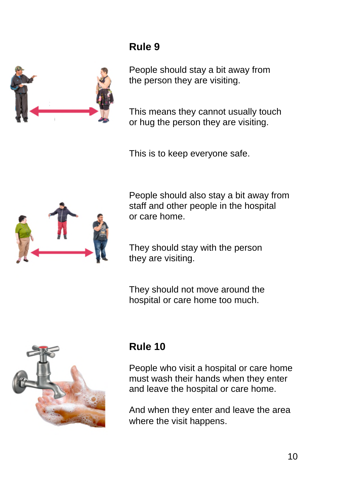

People should stay a bit away from the person they are visiting.

This means they cannot usually touch or hug the person they are visiting.

This is to keep everyone safe.



People should also stay a bit away from staff and other people in the hospital or care home.

They should stay with the person they are visiting.

They should not move around the hospital or care home too much.



#### **Rule 10**

People who visit a hospital or care home must wash their hands when they enter and leave the hospital or care home.

And when they enter and leave the area where the visit happens.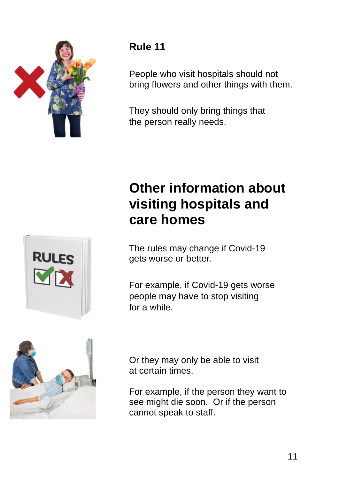

People who visit hospitals should not bring flowers and other things with them.

They should only bring things that the person really needs.

# **RULES**

# **Other information about visiting hospitals and care homes**

The rules may change if Covid-19 gets worse or better.

For example, if Covid-19 gets worse people may have to stop visiting for a while.



Or they may only be able to visit at certain times.

For example, if the person they want to see might die soon. Or if the person cannot speak to staff.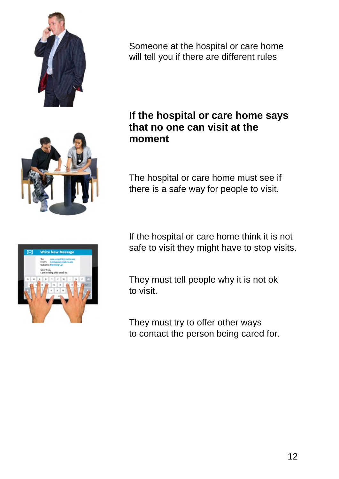

Someone at the hospital or care home will tell you if there are different rules



#### **If the hospital or care home says that no one can visit at the moment**

The hospital or care home must see if there is a safe way for people to visit.



If the hospital or care home think it is not safe to visit they might have to stop visits.

They must tell people why it is not ok to visit.

They must try to offer other ways to contact the person being cared for.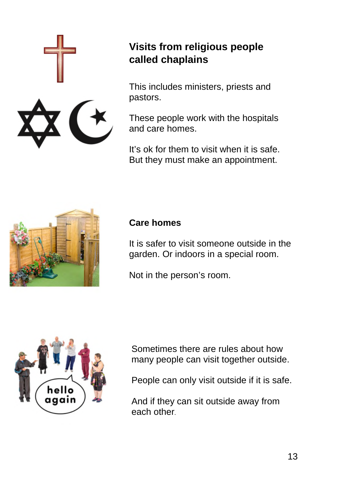

#### **Visits from religious people called chaplains**

This includes ministers, priests and pastors.

These people work with the hospitals and care homes.

It's ok for them to visit when it is safe. But they must make an appointment.



#### **Care homes**

It is safer to visit someone outside in the garden. Or indoors in a special room.

Not in the person's room.



Sometimes there are rules about how many people can visit together outside.

People can only visit outside if it is safe.

And if they can sit outside away from each other.